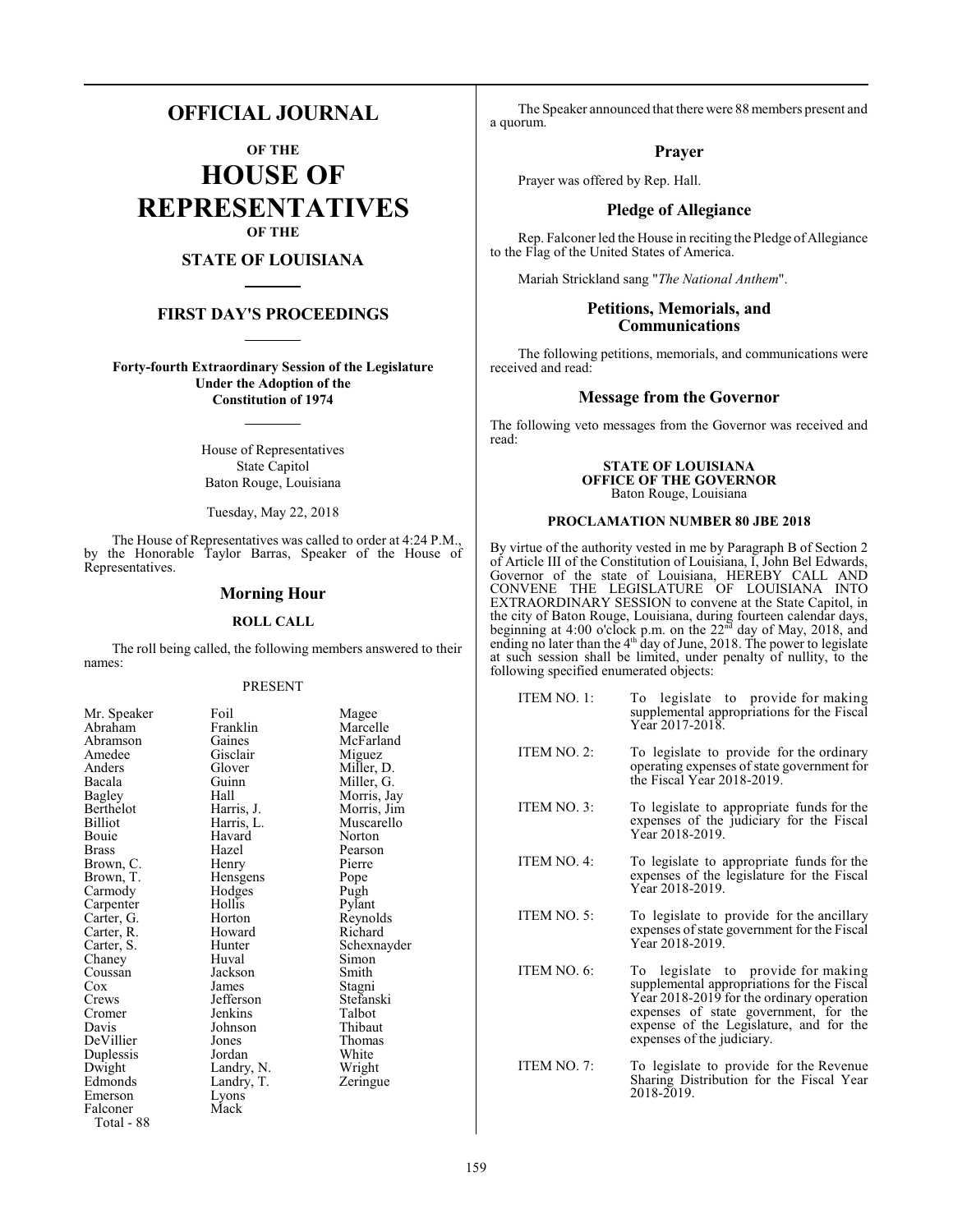# **OFFICIAL JOURNAL**

**OF THE HOUSE OF REPRESENTATIVES OF THE**

# **STATE OF LOUISIANA**

# **FIRST DAY'S PROCEEDINGS**

**Forty-fourth Extraordinary Session of the Legislature Under the Adoption of the Constitution of 1974**

> House of Representatives State Capitol Baton Rouge, Louisiana

Tuesday, May 22, 2018

The House of Representatives was called to order at 4:24 P.M., by the Honorable Taylor Barras, Speaker of the House of Representatives.

# **Morning Hour**

#### **ROLL CALL**

The roll being called, the following members answered to their names:

#### PRESENT

| Mr. Speaker | Foil       | Magee       |
|-------------|------------|-------------|
| Abraham     | Franklin   | Marcelle    |
| Abramson    | Gaines     | McFarland   |
| Amedee      | Gisclair   | Miguez      |
| Anders      | Glover     | Miller, D.  |
| Bacala      | Guinn      | Miller, G.  |
| Bagley      | Hall       | Morris, Jay |
| Berthelot   | Harris, J. | Morris, Jim |
| Billiot     | Harris, L. | Muscarello  |
| Bouie       | Havard     | Norton      |
| Brass       | Hazel      | Pearson     |
| Brown, C.   | Henry      | Pierre      |
| Brown, T.   | Hensgens   | Pope        |
| Carmody     | Hodges     | Pugh        |
| Carpenter   | Hollis     | Pylant      |
| Carter, G.  | Horton     | Reynolds    |
| Carter, R.  | Howard     | Richard     |
| Carter, S.  | Hunter     | Schexnayder |
| Chaney      | Huval      | Simon       |
| Coussan     | Jackson    | Smith       |
| Cox         | James      | Stagni      |
| Crews       | Jefferson  | Stefanski   |
| Cromer      | Jenkins    | Talbot      |
| Davis       | Johnson    | Thibaut     |
| DeVillier   | Jones      | Thomas      |
| Duplessis   | Jordan     | White       |
| Dwight      | Landry, N. | Wright      |
| Edmonds     | Landry, T. | Zeringue    |
| Emerson     | Lyons      |             |
| Falconer    | Mack       |             |
| Total - 88  |            |             |
|             |            |             |

The Speaker announced that there were 88 members present and a quorum.

#### **Prayer**

Prayer was offered by Rep. Hall.

# **Pledge of Allegiance**

Rep. Falconer led the House in reciting the Pledge of Allegiance to the Flag of the United States of America.

Mariah Strickland sang "*The National Anthem*".

# **Petitions, Memorials, and Communications**

The following petitions, memorials, and communications were received and read:

## **Message from the Governor**

The following veto messages from the Governor was received and read:

#### **STATE OF LOUISIANA OFFICE OF THE GOVERNOR** Baton Rouge, Louisiana

#### **PROCLAMATION NUMBER 80 JBE 2018**

By virtue of the authority vested in me by Paragraph B of Section 2 of Article III of the Constitution of Louisiana, I, John Bel Edwards, Governor of the state of Louisiana, HEREBY CALL AND CONVENE THE LEGISLATURE OF LOUISIANA INTO EXTRAORDINARY SESSION to convene at the State Capitol, in the city of Baton Rouge, Louisiana, during fourteen calendar days, beginning at 4:00 o'clock p.m. on the  $22<sup>nd</sup>$  day of May, 2018, and ending no later than the 4<sup>th</sup> day of June, 2018. The power to legislate at such session shall be limited, under penalty of nullity, to the following specified enumerated objects:

| ITEM NO. 1: | To legislate to provide for making<br>supplemental appropriations for the Fiscal<br>Year 2017-2018.                                                                                                                                             |
|-------------|-------------------------------------------------------------------------------------------------------------------------------------------------------------------------------------------------------------------------------------------------|
| ITEM NO. 2: | To legislate to provide for the ordinary<br>operating expenses of state government for<br>the Fiscal Year 2018-2019.                                                                                                                            |
| ITEM NO. 3: | To legislate to appropriate funds for the<br>expenses of the judiciary for the Fiscal<br>Year 2018-2019.                                                                                                                                        |
| ITEM NO. 4: | To legislate to appropriate funds for the<br>expenses of the legislature for the Fiscal<br>Year 2018-2019.                                                                                                                                      |
| ITEM NO. 5: | To legislate to provide for the ancillary<br>expenses of state government for the Fiscal<br>Year 2018-2019.                                                                                                                                     |
| ITEM NO. 6: | To legislate to provide for making<br>supplemental appropriations for the Fiscal<br>Year 2018-2019 for the ordinary operation<br>expenses of state government, for the<br>expense of the Legislature, and for the<br>expenses of the judiciary. |
| ITEM NO. 7: | To legislate to provide for the Revenue<br>Sharing Distribution for the Fiscal Year<br>2018-2019.                                                                                                                                               |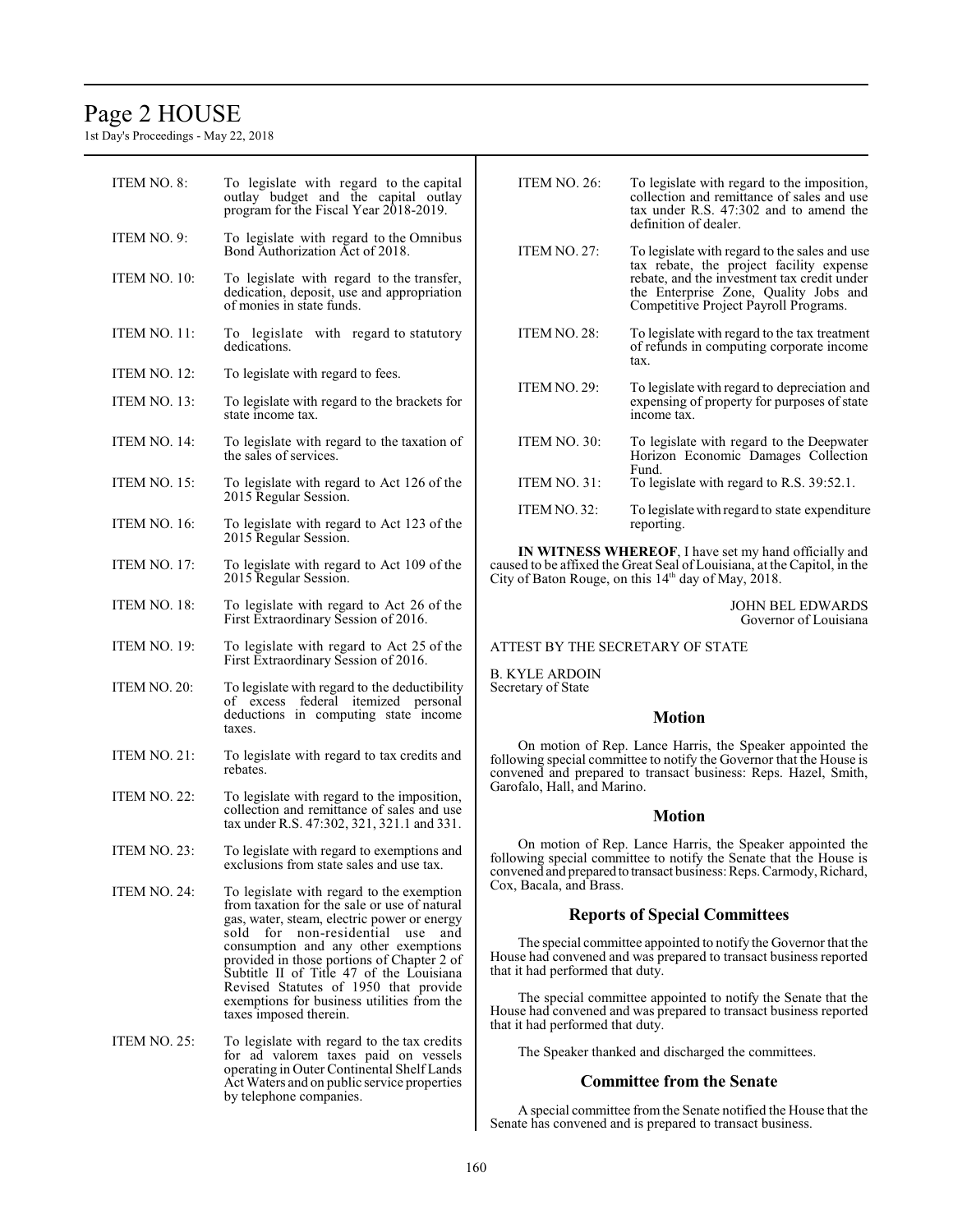# Page 2 HOUSE

1st Day's Proceedings - May 22, 2018

| ITEM NO. 8:         | To legislate with regard to the capital<br>outlay budget and the capital outlay<br>program for the Fiscal Year 2018-2019.                                          | <b>ITEM NO. 26:</b>                                                                                                                                                                                    | To legislate with regard to the imposition,<br>collection and remittance of sales and use<br>tax under R.S. 47:302 and to amend the<br>definition of dealer.                                                               |
|---------------------|--------------------------------------------------------------------------------------------------------------------------------------------------------------------|--------------------------------------------------------------------------------------------------------------------------------------------------------------------------------------------------------|----------------------------------------------------------------------------------------------------------------------------------------------------------------------------------------------------------------------------|
| ITEM NO. 9:         | To legislate with regard to the Omnibus<br>Bond Authorization Act of 2018.                                                                                         | <b>ITEM NO. 27:</b>                                                                                                                                                                                    | To legislate with regard to the sales and use<br>tax rebate, the project facility expense<br>rebate, and the investment tax credit under<br>the Enterprise Zone, Quality Jobs and<br>Competitive Project Payroll Programs. |
| ITEM NO. 10:        | To legislate with regard to the transfer,<br>dedication, deposit, use and appropriation<br>of monies in state funds.                                               |                                                                                                                                                                                                        |                                                                                                                                                                                                                            |
| ITEM NO. 11:        | To legislate with regard to statutory<br>dedications.                                                                                                              | ITEM NO. 28:                                                                                                                                                                                           | To legislate with regard to the tax treatment<br>of refunds in computing corporate income<br>tax.                                                                                                                          |
| ITEM NO. 12:        | To legislate with regard to fees.                                                                                                                                  | ITEM NO. 29:                                                                                                                                                                                           | To legislate with regard to depreciation and                                                                                                                                                                               |
| ITEM NO. 13:        | To legislate with regard to the brackets for<br>state income tax.                                                                                                  |                                                                                                                                                                                                        | expensing of property for purposes of state<br>income tax.                                                                                                                                                                 |
| ITEM NO. 14:        | To legislate with regard to the taxation of<br>the sales of services.                                                                                              | ITEM NO. 30:                                                                                                                                                                                           | To legislate with regard to the Deepwater<br>Horizon Economic Damages Collection<br>Fund.                                                                                                                                  |
| ITEM NO. 15:        | To legislate with regard to Act 126 of the<br>2015 Regular Session.                                                                                                | <b>ITEM NO. 31:</b>                                                                                                                                                                                    | To legislate with regard to R.S. 39:52.1.                                                                                                                                                                                  |
| ITEM NO. 16:        | To legislate with regard to Act 123 of the<br>2015 Regular Session.                                                                                                | ITEM NO. 32:                                                                                                                                                                                           | To legislate with regard to state expenditure<br>reporting.                                                                                                                                                                |
| <b>ITEM NO. 17:</b> | To legislate with regard to Act 109 of the<br>2015 Regular Session.                                                                                                | IN WITNESS WHEREOF, I have set my hand officially and<br>caused to be affixed the Great Seal of Louisiana, at the Capitol, in the<br>City of Baton Rouge, on this $14th$ day of May, 2018.             |                                                                                                                                                                                                                            |
| ITEM NO. 18:        | To legislate with regard to Act 26 of the<br>First Extraordinary Session of 2016.                                                                                  | <b>JOHN BEL EDWARDS</b><br>Governor of Louisiana                                                                                                                                                       |                                                                                                                                                                                                                            |
| ITEM NO. 19:        | To legislate with regard to Act 25 of the<br>First Extraordinary Session of 2016.                                                                                  | ATTEST BY THE SECRETARY OF STATE                                                                                                                                                                       |                                                                                                                                                                                                                            |
| ITEM NO. 20:        | To legislate with regard to the deductibility                                                                                                                      | <b>B. KYLE ARDOIN</b><br>Secretary of State<br><b>Motion</b>                                                                                                                                           |                                                                                                                                                                                                                            |
|                     | of excess federal itemized personal<br>deductions in computing state income<br>taxes.                                                                              |                                                                                                                                                                                                        |                                                                                                                                                                                                                            |
| <b>ITEM NO. 21:</b> | To legislate with regard to tax credits and<br>rebates.                                                                                                            | On motion of Rep. Lance Harris, the Speaker appointed the<br>following special committee to notify the Governor that the House is<br>convened and prepared to transact business: Reps. Hazel, Smith,   |                                                                                                                                                                                                                            |
| ITEM NO. 22:        | To legislate with regard to the imposition,<br>collection and remittance of sales and use<br>tax under R.S. 47:302, 321, 321.1 and 331.                            | Garofalo, Hall, and Marino.<br><b>Motion</b>                                                                                                                                                           |                                                                                                                                                                                                                            |
| ITEM NO. 23:        | To legislate with regard to exemptions and<br>exclusions from state sales and use tax.                                                                             | On motion of Rep. Lance Harris, the Speaker appointed the<br>following special committee to notify the Senate that the House is<br>convened and prepared to transact business: Reps. Carmody, Richard, |                                                                                                                                                                                                                            |
| ITEM NO. 24:        | To legislate with regard to the exemption<br>from taxation for the sale or use of natural<br>gas, water, steam, electric power or energy                           | Cox. Bacala, and Brass.                                                                                                                                                                                | <b>Reports of Special Committees</b>                                                                                                                                                                                       |
|                     | sold for non-residential use and<br>consumption and any other exemptions<br>provided in those portions of Chapter 2 of<br>Subtitle II of Title 47 of the Louisiana | The special committee appointed to notify the Governor that the<br>House had convened and was prepared to transact business reported<br>that it had performed that duty.                               |                                                                                                                                                                                                                            |
|                     | Revised Statutes of 1950 that provide<br>exemptions for business utilities from the<br>taxes imposed therein.                                                      | that it had performed that duty.                                                                                                                                                                       | The special committee appointed to notify the Senate that the<br>House had convened and was prepared to transact business reported                                                                                         |
| <b>ITEM NO. 25:</b> | To legislate with regard to the tax credits<br>for ad valorem taxes paid on vessels<br>operating in Outer Continental Shelf Lands                                  |                                                                                                                                                                                                        | The Speaker thanked and discharged the committees.                                                                                                                                                                         |
|                     | Act Waters and on public service properties                                                                                                                        |                                                                                                                                                                                                        | <b>Committee from the Senate</b>                                                                                                                                                                                           |
|                     | by telephone companies.                                                                                                                                            |                                                                                                                                                                                                        | A special committee from the Senate notified the House that the                                                                                                                                                            |

Senate has convened and is prepared to transact business.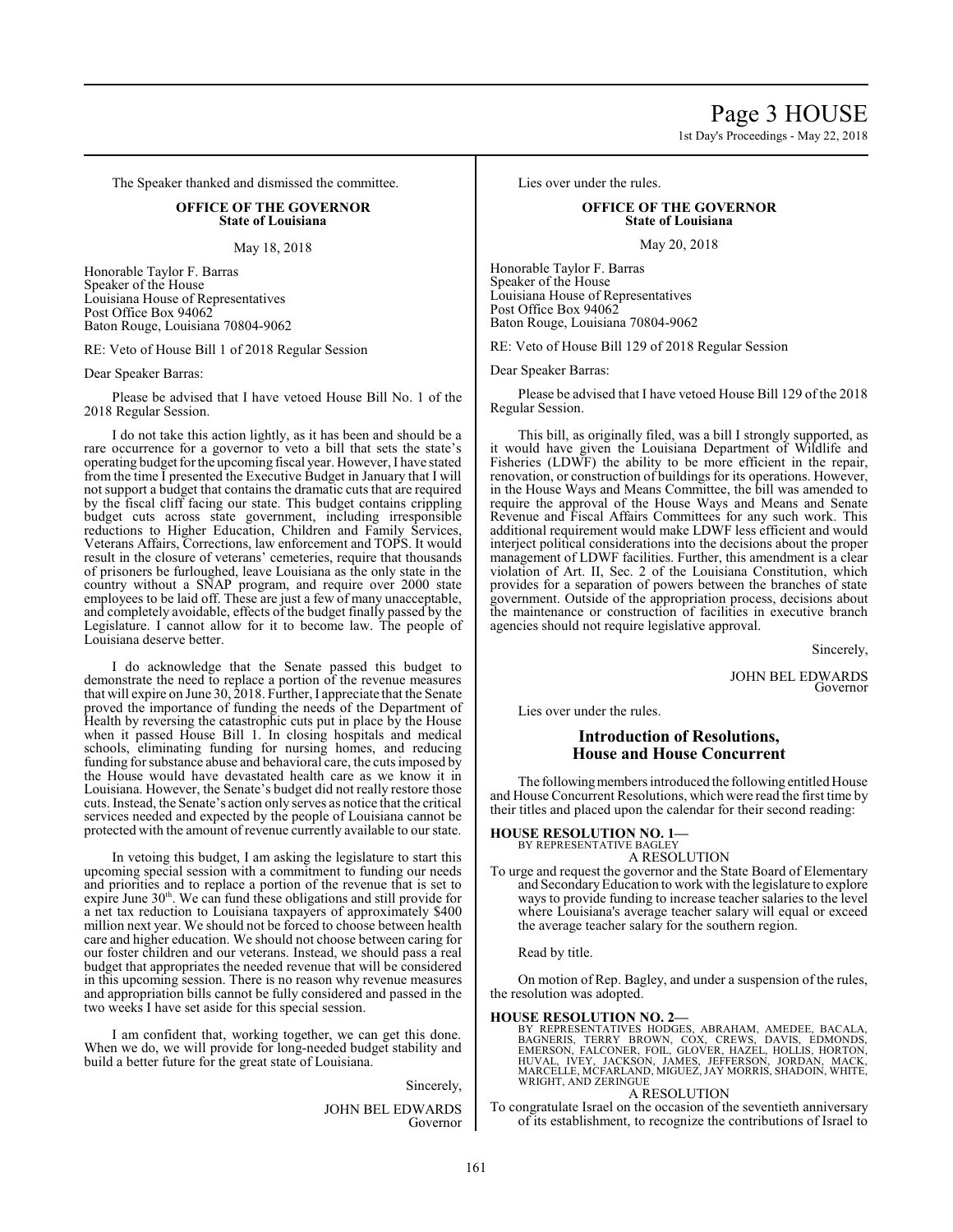1st Day's Proceedings - May 22, 2018

The Speaker thanked and dismissed the committee.

# **OFFICE OF THE GOVERNOR State of Louisiana**

May 18, 2018

Honorable Taylor F. Barras Speaker of the House Louisiana House of Representatives Post Office Box 94062 Baton Rouge, Louisiana 70804-9062

RE: Veto of House Bill 1 of 2018 Regular Session

Dear Speaker Barras:

Please be advised that I have vetoed House Bill No. 1 of the 2018 Regular Session.

I do not take this action lightly, as it has been and should be a rare occurrence for a governor to veto a bill that sets the state's operating budget for the upcoming fiscal year. However, I have stated from the time I presented the Executive Budget in January that I will not support a budget that contains the dramatic cuts that are required by the fiscal cliff facing our state. This budget contains crippling budget cuts across state government, including irresponsible reductions to Higher Education, Children and Family Services, Veterans Affairs, Corrections, law enforcement and TOPS. It would result in the closure of veterans' cemeteries, require that thousands of prisoners be furloughed, leave Louisiana as the only state in the country without a SNAP program, and require over 2000 state employees to be laid off. These are just a few of many unacceptable, and completely avoidable, effects of the budget finally passed by the Legislature. I cannot allow for it to become law. The people of Louisiana deserve better.

I do acknowledge that the Senate passed this budget to demonstrate the need to replace a portion of the revenue measures that will expire on June 30, 2018. Further, I appreciate that the Senate proved the importance of funding the needs of the Department of Health by reversing the catastrophic cuts put in place by the House when it passed House Bill 1. In closing hospitals and medical schools, eliminating funding for nursing homes, and reducing funding for substance abuse and behavioral care, the cuts imposed by the House would have devastated health care as we know it in Louisiana. However, the Senate's budget did not really restore those cuts. Instead, the Senate's action only serves as notice that the critical services needed and expected by the people of Louisiana cannot be protected with the amount of revenue currently available to our state.

In vetoing this budget, I am asking the legislature to start this upcoming special session with a commitment to funding our needs and priorities and to replace a portion of the revenue that is set to expire June 30<sup>th</sup>. We can fund these obligations and still provide for a net tax reduction to Louisiana taxpayers of approximately \$400 million next year. We should not be forced to choose between health care and higher education. We should not choose between caring for our foster children and our veterans. Instead, we should pass a real budget that appropriates the needed revenue that will be considered in this upcoming session. There is no reason why revenue measures and appropriation bills cannot be fully considered and passed in the two weeks I have set aside for this special session.

I am confident that, working together, we can get this done. When we do, we will provide for long-needed budget stability and build a better future for the great state of Louisiana.

Sincerely,

JOHN BEL EDWARDS Governor Lies over under the rules.

# **OFFICE OF THE GOVERNOR State of Louisiana**

May 20, 2018

Honorable Taylor F. Barras Speaker of the House Louisiana House of Representatives Post Office Box 94062 Baton Rouge, Louisiana 70804-9062

RE: Veto of House Bill 129 of 2018 Regular Session

Dear Speaker Barras:

Please be advised that I have vetoed House Bill 129 of the 2018 Regular Session.

This bill, as originally filed, was a bill I strongly supported, as it would have given the Louisiana Department of Wildlife and Fisheries (LDWF) the ability to be more efficient in the repair, renovation, or construction of buildings for its operations. However, in the House Ways and Means Committee, the bill was amended to require the approval of the House Ways and Means and Senate Revenue and Fiscal Affairs Committees for any such work. This additional requirement would make LDWF less efficient and would interject political considerations into the decisions about the proper management of LDWF facilities. Further, this amendment is a clear violation of Art. II, Sec. 2 of the Louisiana Constitution, which provides for a separation of powers between the branches of state government. Outside of the appropriation process, decisions about the maintenance or construction of facilities in executive branch agencies should not require legislative approval.

Sincerely,

JOHN BEL EDWARDS Governor

Lies over under the rules.

# **Introduction of Resolutions, House and House Concurrent**

The following members introduced the following entitled House and House Concurrent Resolutions, which were read the first time by their titles and placed upon the calendar for their second reading:

#### **HOUSE RESOLUTION NO. 1—** BY REPRESENTATIVE BAGLEY

A RESOLUTION

To urge and request the governor and the State Board of Elementary and SecondaryEducation to work with the legislature to explore ways to provide funding to increase teacher salaries to the level where Louisiana's average teacher salary will equal or exceed the average teacher salary for the southern region.

Read by title.

On motion of Rep. Bagley, and under a suspension of the rules, the resolution was adopted.

#### **HOUSE RESOLUTION NO. 2—**

BY REPRESENTATIVES HODGES, ABRAHAM, AMEDEE, BACALA,<br>BAGNERIS, TERRY BROWN, COX, CREWS, DAVIS, EDNONDS,<br>EMERSON, FALCONER, FOIL, GLOVER, HAZEL, HOLLIS, HORTON,<br>HUVAL, IVEY, JACKSON, JAMES, JEFFERSON, JORDAN, MACK,<br>MRIGELLE,

#### A RESOLUTION

To congratulate Israel on the occasion of the seventieth anniversary of its establishment, to recognize the contributions of Israel to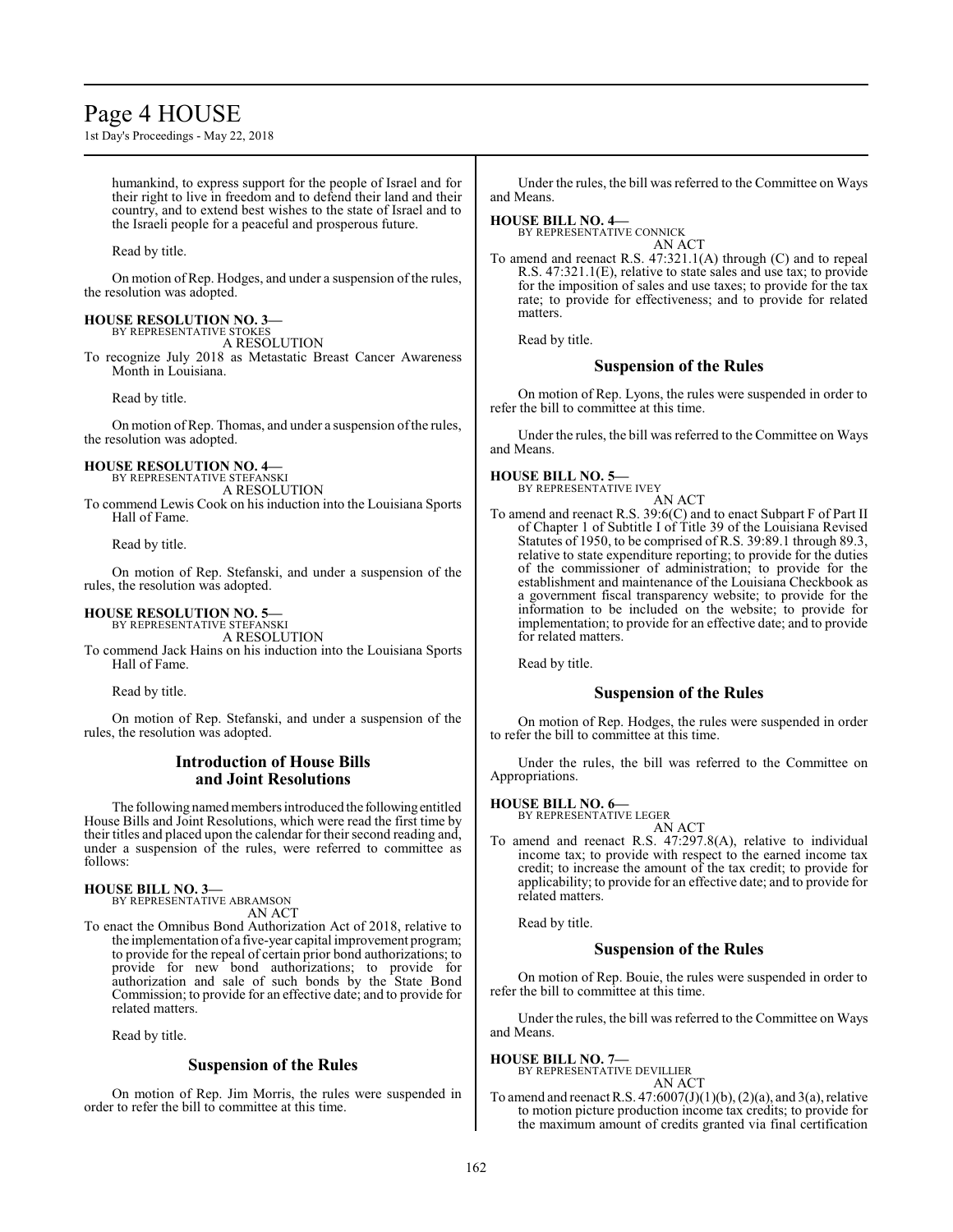# Page 4 HOUSE

1st Day's Proceedings - May 22, 2018

humankind, to express support for the people of Israel and for their right to live in freedom and to defend their land and their country, and to extend best wishes to the state of Israel and to the Israeli people for a peaceful and prosperous future.

Read by title.

On motion of Rep. Hodges, and under a suspension of the rules, the resolution was adopted.

#### **HOUSE RESOLUTION NO. 3—**

BY REPRESENTATIVE STOKES A RESOLUTION

To recognize July 2018 as Metastatic Breast Cancer Awareness Month in Louisiana.

Read by title.

On motion of Rep. Thomas, and under a suspension ofthe rules, the resolution was adopted.

# **HOUSE RESOLUTION NO. 4—**

BY REPRESENTATIVE STEFANSKI A RESOLUTION

To commend Lewis Cook on his induction into the Louisiana Sports Hall of Fame.

Read by title.

On motion of Rep. Stefanski, and under a suspension of the rules, the resolution was adopted.

#### **HOUSE RESOLUTION NO. 5—** BY REPRESENTATIVE STEFANSKI

A RESOLUTION

To commend Jack Hains on his induction into the Louisiana Sports Hall of Fame.

Read by title.

On motion of Rep. Stefanski, and under a suspension of the rules, the resolution was adopted.

#### **Introduction of House Bills and Joint Resolutions**

The following named members introduced the following entitled House Bills and Joint Resolutions, which were read the first time by their titles and placed upon the calendar for their second reading and, under a suspension of the rules, were referred to committee as follows:

#### **HOUSE BILL NO. 3—**

BY REPRESENTATIVE ABRAMSON AN ACT

To enact the Omnibus Bond Authorization Act of 2018, relative to the implementation of a five-year capital improvement program; to provide for the repeal of certain prior bond authorizations; to provide for new bond authorizations; to provide for authorization and sale of such bonds by the State Bond Commission; to provide for an effective date; and to provide for related matters.

Read by title.

# **Suspension of the Rules**

On motion of Rep. Jim Morris, the rules were suspended in order to refer the bill to committee at this time.

Under the rules, the bill was referred to the Committee on Ways and Means.

**HOUSE BILL NO. 4—**

BY REPRESENTATIVE CONNICK AN ACT

To amend and reenact R.S. 47:321.1(A) through (C) and to repeal R.S. 47:321.1(E), relative to state sales and use tax; to provide for the imposition of sales and use taxes; to provide for the tax rate; to provide for effectiveness; and to provide for related matters.

Read by title.

# **Suspension of the Rules**

On motion of Rep. Lyons, the rules were suspended in order to refer the bill to committee at this time.

Under the rules, the bill was referred to the Committee on Ways and Means.

#### **HOUSE BILL NO. 5—**

BY REPRESENTATIVE IVEY AN ACT

To amend and reenact R.S. 39:6(C) and to enact Subpart F of Part II of Chapter 1 of Subtitle I of Title 39 of the Louisiana Revised Statutes of 1950, to be comprised of R.S. 39:89.1 through 89.3, relative to state expenditure reporting; to provide for the duties of the commissioner of administration; to provide for the establishment and maintenance of the Louisiana Checkbook as a government fiscal transparency website; to provide for the information to be included on the website; to provide for implementation; to provide for an effective date; and to provide for related matters.

Read by title.

#### **Suspension of the Rules**

On motion of Rep. Hodges, the rules were suspended in order to refer the bill to committee at this time.

Under the rules, the bill was referred to the Committee on Appropriations.

# **HOUSE BILL NO. 6—** BY REPRESENTATIVE LEGER

AN ACT To amend and reenact R.S. 47:297.8(A), relative to individual income tax; to provide with respect to the earned income tax credit; to increase the amount of the tax credit; to provide for applicability; to provide for an effective date; and to provide for related matters.

Read by title.

# **Suspension of the Rules**

On motion of Rep. Bouie, the rules were suspended in order to refer the bill to committee at this time.

Under the rules, the bill was referred to the Committee on Ways and Means.

**HOUSE BILL NO. 7—**

BY REPRESENTATIVE DEVILLIER AN ACT

To amend and reenact R.S.  $47:6007(J)(1)(b)$ ,  $(2)(a)$ , and  $3(a)$ , relative to motion picture production income tax credits; to provide for the maximum amount of credits granted via final certification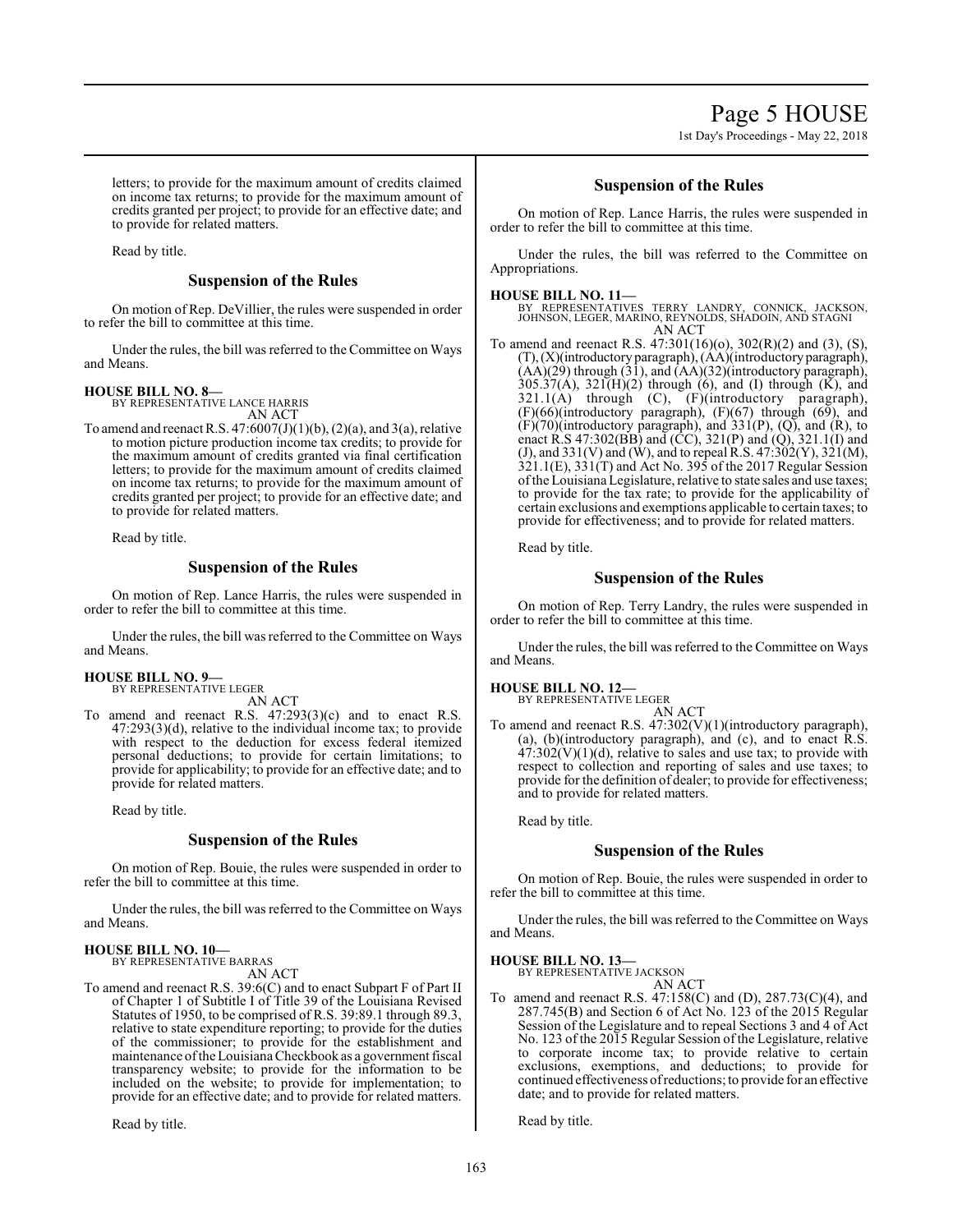letters; to provide for the maximum amount of credits claimed on income tax returns; to provide for the maximum amount of credits granted per project; to provide for an effective date; and to provide for related matters.

Read by title.

# **Suspension of the Rules**

On motion of Rep. DeVillier, the rules were suspended in order to refer the bill to committee at this time.

Under the rules, the bill was referred to the Committee on Ways and Means.

#### **HOUSE BILL NO. 8—**

BY REPRESENTATIVE LANCE HARRIS

- AN ACT
- To amend and reenact R.S.  $47:6007(J)(1)(b)$ ,  $(2)(a)$ , and  $3(a)$ , relative to motion picture production income tax credits; to provide for the maximum amount of credits granted via final certification letters; to provide for the maximum amount of credits claimed on income tax returns; to provide for the maximum amount of credits granted per project; to provide for an effective date; and to provide for related matters.

Read by title.

#### **Suspension of the Rules**

On motion of Rep. Lance Harris, the rules were suspended in order to refer the bill to committee at this time.

Under the rules, the bill was referred to the Committee on Ways and Means.

#### **HOUSE BILL NO. 9—**

BY REPRESENTATIVE LEGER AN ACT

To amend and reenact R.S. 47:293(3)(c) and to enact R.S. 47:293(3)(d), relative to the individual income tax; to provide with respect to the deduction for excess federal itemized personal deductions; to provide for certain limitations; to provide for applicability; to provide for an effective date; and to provide for related matters.

Read by title.

#### **Suspension of the Rules**

On motion of Rep. Bouie, the rules were suspended in order to refer the bill to committee at this time.

Under the rules, the bill was referred to the Committee on Ways and Means.

**HOUSE BILL NO. 10—** BY REPRESENTATIVE BARRAS

AN ACT

To amend and reenact R.S. 39:6(C) and to enact Subpart F of Part II of Chapter 1 of Subtitle I of Title 39 of the Louisiana Revised Statutes of 1950, to be comprised of R.S. 39:89.1 through 89.3, relative to state expenditure reporting; to provide for the duties of the commissioner; to provide for the establishment and maintenance ofthe Louisiana Checkbook as a government fiscal transparency website; to provide for the information to be included on the website; to provide for implementation; to provide for an effective date; and to provide for related matters.

Read by title.

### **Suspension of the Rules**

On motion of Rep. Lance Harris, the rules were suspended in order to refer the bill to committee at this time.

Under the rules, the bill was referred to the Committee on Appropriations.

#### **HOUSE BILL NO. 11—**

BY REPRESENTATIVES TERRY LANDRY, CONNICK, JACKSON, JOHNSON, LEGER, MARINO, REYNOLDS, SHADOIN, AND STAGNI AN ACT

To amend and reenact R.S. 47:301(16)(o), 302(R)(2) and (3), (S), (T),(X)(introductory paragraph), (AA)(introductory paragraph),  $(AA)(29)$  through  $(31)$ , and  $(AA)(32)$ (introductory paragraph),  $305.37(A)$ ,  $321(H)(2)$  through (6), and (I) through (K), and  $321.1(A)$  through  $(C)$ ,  $(F)$ (introductory paragraph), (F)(66)(introductory paragraph), (F)(67) through (69), and  $(F)(70)$ (introductory paragraph), and  $331(P)$ ,  $(Q)$ , and  $(R)$ , to enact R.S 47:302(BB) and (CC), 321(P) and (Q), 321.1(I) and (J), and 331(V) and (W), and to repeal R.S. 47:302(Y), 321(M), 321.1(E), 331(T) and Act No. 395 of the 2017 Regular Session ofthe LouisianaLegislature, relative to state sales and use taxes; to provide for the tax rate; to provide for the applicability of certain exclusions and exemptions applicable to certain taxes; to provide for effectiveness; and to provide for related matters.

Read by title.

# **Suspension of the Rules**

On motion of Rep. Terry Landry, the rules were suspended in order to refer the bill to committee at this time.

Under the rules, the bill was referred to the Committee on Ways and Means.

# **HOUSE BILL NO. 12—**

BY REPRESENTATIVE LEGER AN ACT

To amend and reenact R.S. 47:302(V)(1)(introductory paragraph), (a), (b)(introductory paragraph), and (c), and to enact R.S.  $47:302(V)(1)(d)$ , relative to sales and use tax; to provide with respect to collection and reporting of sales and use taxes; to provide for the definition of dealer; to provide for effectiveness; and to provide for related matters.

Read by title.

# **Suspension of the Rules**

On motion of Rep. Bouie, the rules were suspended in order to refer the bill to committee at this time.

Under the rules, the bill was referred to the Committee on Ways and Means.

**HOUSE BILL NO. 13—** BY REPRESENTATIVE JACKSON

AN ACT

To amend and reenact R.S. 47:158(C) and (D), 287.73(C)(4), and 287.745(B) and Section 6 of Act No. 123 of the 2015 Regular Session of the Legislature and to repeal Sections 3 and 4 of Act No. 123 of the 2015 Regular Session of the Legislature, relative to corporate income tax; to provide relative to certain exclusions, exemptions, and deductions; to provide for continued effectiveness ofreductions; to provide for an effective date; and to provide for related matters.

Read by title.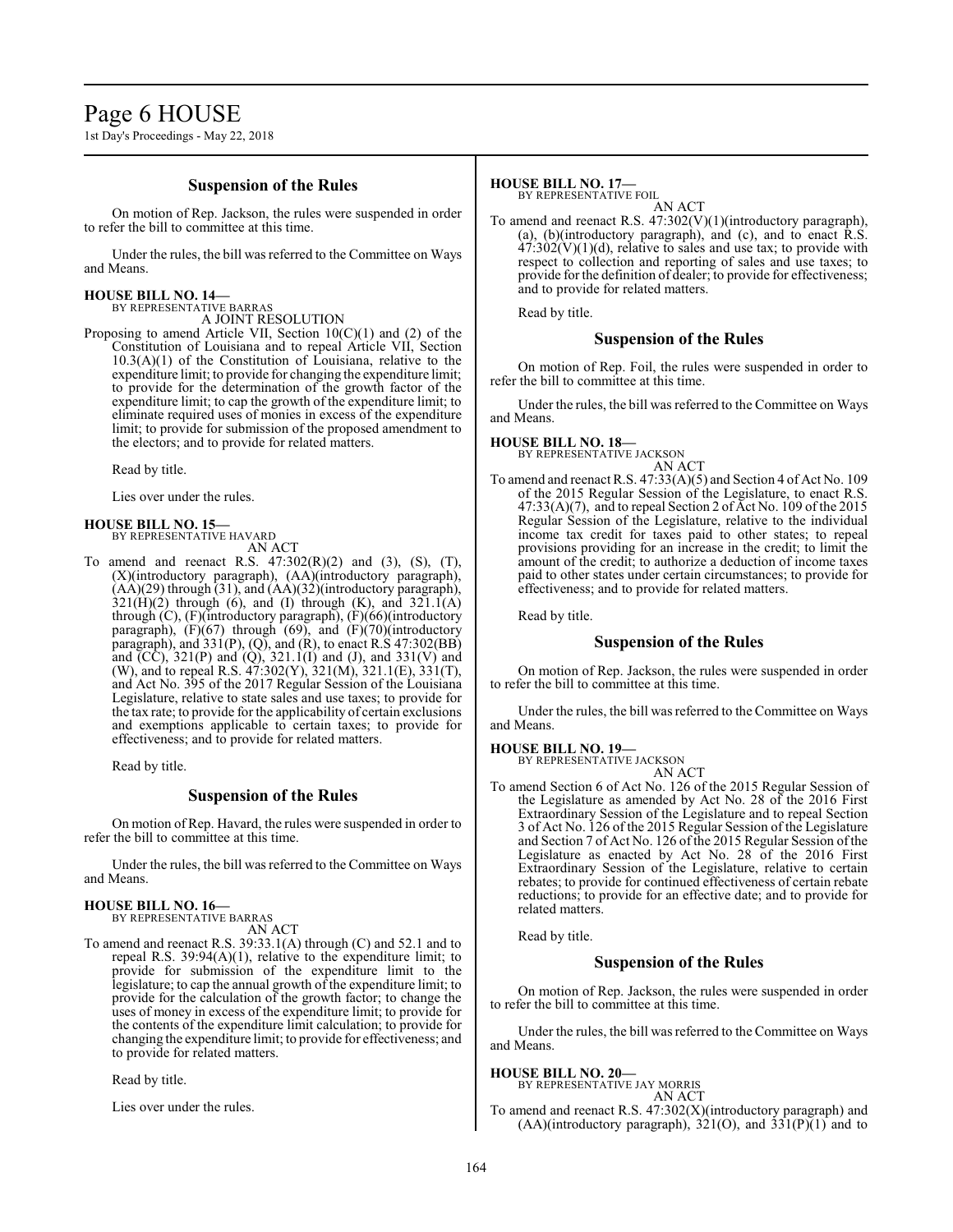# Page 6 HOUSE

1st Day's Proceedings - May 22, 2018

### **Suspension of the Rules**

On motion of Rep. Jackson, the rules were suspended in order to refer the bill to committee at this time.

Under the rules, the bill was referred to the Committee on Ways and Means.

# **HOUSE BILL NO. 14—**

BY REPRESENTATIVE BARRAS A JOINT RESOLUTION

Proposing to amend Article VII, Section 10(C)(1) and (2) of the Constitution of Louisiana and to repeal Article VII, Section  $10.3(A)(1)$  of the Constitution of Louisiana, relative to the expenditure limit; to provide for changing the expenditure limit; to provide for the determination of the growth factor of the expenditure limit; to cap the growth of the expenditure limit; to eliminate required uses of monies in excess of the expenditure limit; to provide for submission of the proposed amendment to the electors; and to provide for related matters.

Read by title.

Lies over under the rules.

# **HOUSE BILL NO. 15—**

BY REPRESENTATIVE HAVARD AN ACT

To amend and reenact R.S.  $47:302(R)(2)$  and  $(3)$ ,  $(S)$ ,  $(T)$ , (X)(introductory paragraph), (AA)(introductory paragraph), (AA)(29) through (31), and (AA)(32)(introductory paragraph),  $321(H)(2)$  through (6), and (I) through (K), and  $321.1(A)$ through (C), (F)(introductory paragraph), (F)(66)(introductory paragraph),  $(F)(67)$  through  $(69)$ , and  $(F)(70)$ (introductory paragraph), and  $331(P)$ , (Q), and (R), to enact R.S  $47:302(BB)$ and (CC), 321(P) and (Q), 321.1(I) and (J), and 331(V) and (W), and to repeal R.S. 47:302(Y), 321(M), 321.1(E), 331(T), and Act No. 395 of the 2017 Regular Session of the Louisiana Legislature, relative to state sales and use taxes; to provide for the tax rate; to provide for the applicability of certain exclusions and exemptions applicable to certain taxes; to provide for effectiveness; and to provide for related matters.

Read by title.

#### **Suspension of the Rules**

On motion of Rep. Havard, the rules were suspended in order to refer the bill to committee at this time.

Under the rules, the bill was referred to the Committee on Ways and Means.

#### **HOUSE BILL NO. 16—**

BY REPRESENTATIVE BARRAS AN ACT

To amend and reenact R.S. 39:33.1(A) through (C) and 52.1 and to repeal R.S. 39:94(A)(1), relative to the expenditure limit; to provide for submission of the expenditure limit to the legislature; to cap the annual growth of the expenditure limit; to provide for the calculation of the growth factor; to change the uses of money in excess of the expenditure limit; to provide for the contents of the expenditure limit calculation; to provide for changing the expenditure limit; to provide for effectiveness; and to provide for related matters.

Read by title.

Lies over under the rules.

# **HOUSE BILL NO. 17—**

BY REPRESENTATIVE FOIL

AN ACT To amend and reenact R.S. 47:302(V)(1)(introductory paragraph), (a), (b)(introductory paragraph), and (c), and to enact R.S.  $47:302(V)(1)(d)$ , relative to sales and use tax; to provide with respect to collection and reporting of sales and use taxes; to provide for the definition of dealer; to provide for effectiveness; and to provide for related matters.

Read by title.

#### **Suspension of the Rules**

On motion of Rep. Foil, the rules were suspended in order to refer the bill to committee at this time.

Under the rules, the bill was referred to the Committee on Ways and Means.

# **HOUSE BILL NO. 18—**

BY REPRESENTATIVE JACKSON

- AN ACT
- To amend and reenact R.S. 47:33(A)(5) and Section 4 of Act No. 109 of the 2015 Regular Session of the Legislature, to enact R.S.  $47:33(A)(7)$ , and to repeal Section 2 of Act No. 109 of the 2015 Regular Session of the Legislature, relative to the individual income tax credit for taxes paid to other states; to repeal provisions providing for an increase in the credit; to limit the amount of the credit; to authorize a deduction of income taxes paid to other states under certain circumstances; to provide for effectiveness; and to provide for related matters.

Read by title.

#### **Suspension of the Rules**

On motion of Rep. Jackson, the rules were suspended in order to refer the bill to committee at this time.

Under the rules, the bill was referred to the Committee on Ways and Means.

**HOUSE BILL NO. 19—** BY REPRESENTATIVE JACKSON

AN ACT

To amend Section 6 of Act No. 126 of the 2015 Regular Session of the Legislature as amended by Act No. 28 of the 2016 First Extraordinary Session of the Legislature and to repeal Section 3 of Act No. 126 of the 2015 Regular Session of the Legislature and Section 7 of Act No. 126 of the 2015 Regular Session ofthe Legislature as enacted by Act No. 28 of the 2016 First Extraordinary Session of the Legislature, relative to certain rebates; to provide for continued effectiveness of certain rebate reductions; to provide for an effective date; and to provide for related matters.

Read by title.

# **Suspension of the Rules**

On motion of Rep. Jackson, the rules were suspended in order to refer the bill to committee at this time.

Under the rules, the bill was referred to the Committee on Ways and Means.

#### **HOUSE BILL NO. 20—**

BY REPRESENTATIVE JAY MORRIS AN ACT

To amend and reenact R.S. 47:302(X)(introductory paragraph) and  $(AA)(introductory paragraph), 321(O), and 331(P)(1) and to$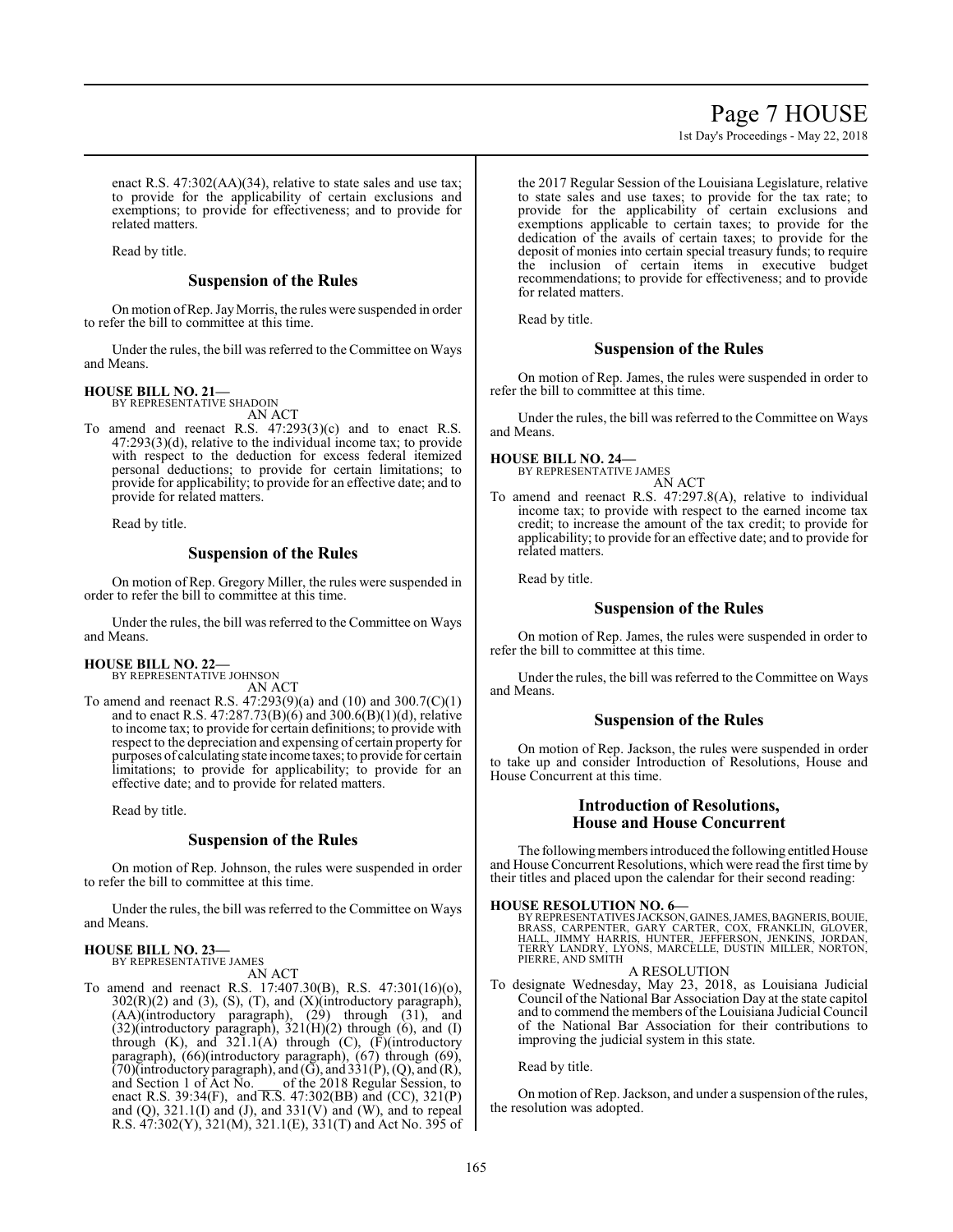# Page 7 HOUSE

1st Day's Proceedings - May 22, 2018

enact R.S. 47:302(AA)(34), relative to state sales and use tax; to provide for the applicability of certain exclusions and exemptions; to provide for effectiveness; and to provide for related matters.

Read by title.

# **Suspension of the Rules**

On motion ofRep. JayMorris, the rules were suspended in order to refer the bill to committee at this time.

Under the rules, the bill was referred to the Committee on Ways and Means.

#### **HOUSE BILL NO. 21—** BY REPRESENTATIVE SHADOIN

AN ACT

To amend and reenact R.S. 47:293(3)(c) and to enact R.S. 47:293(3)(d), relative to the individual income tax; to provide with respect to the deduction for excess federal itemized personal deductions; to provide for certain limitations; to provide for applicability; to provide for an effective date; and to provide for related matters.

Read by title.

#### **Suspension of the Rules**

On motion of Rep. Gregory Miller, the rules were suspended in order to refer the bill to committee at this time.

Under the rules, the bill was referred to the Committee on Ways and Means.

# **HOUSE BILL NO. 22—** BY REPRESENTATIVE JOHNSON

AN ACT

To amend and reenact R.S. 47:293(9)(a) and (10) and 300.7(C)(1) and to enact R.S. 47:287.73(B)(6) and 300.6(B)(1)(d), relative to income tax; to provide for certain definitions; to provide with respect to the depreciation and expensing of certain property for purposes of calculating state income taxes; to provide for certain limitations; to provide for applicability; to provide for an effective date; and to provide for related matters.

Read by title.

#### **Suspension of the Rules**

On motion of Rep. Johnson, the rules were suspended in order to refer the bill to committee at this time.

Under the rules, the bill was referred to the Committee on Ways and Means.

**HOUSE BILL NO. 23—** BY REPRESENTATIVE JAMES

AN ACT

To amend and reenact R.S. 17:407.30(B), R.S. 47:301(16)(o),  $302(R)(2)$  and  $(3)$ ,  $(S)$ ,  $(T)$ , and  $(X)(introductory paragraph)$ , (AA)(introductory paragraph), (29) through (31), and  $(32)$ (introductory paragraph),  $321(H)(2)$  through  $(6)$ , and  $(1)$ through  $(K)$ , and  $321.1(A)$  through  $(C)$ ,  $(F)$ (introductory paragraph), (66)(introductory paragraph), (67) through (69),  $(70)$ (introductory paragraph), and  $(\overline{G})$ , and  $(331(P), (Q)$ , and  $(\overline{R})$ , and Section 1 of Act No. \_\_\_ of the 2018 Regular Session, to enact R.S. 39:34(F), and  $\overline{R.S}$ . 47:302(BB) and (CC), 321(P) and  $(Q)$ , 321.1 $(I)$  and  $(J)$ , and 331 $(V)$  and  $(W)$ , and to repeal R.S. 47:302(Y), 321(M), 321.1(E), 331(T) and Act No. 395 of

the 2017 Regular Session of the Louisiana Legislature, relative to state sales and use taxes; to provide for the tax rate; to provide for the applicability of certain exclusions and exemptions applicable to certain taxes; to provide for the dedication of the avails of certain taxes; to provide for the deposit of monies into certain special treasury funds; to require the inclusion of certain items in executive budget recommendations; to provide for effectiveness; and to provide for related matters.

Read by title.

# **Suspension of the Rules**

On motion of Rep. James, the rules were suspended in order to refer the bill to committee at this time.

Under the rules, the bill was referred to the Committee on Ways and Means.

# **HOUSE BILL NO. 24—**

BY REPRESENTATIVE JAMES AN ACT

To amend and reenact R.S. 47:297.8(A), relative to individual income tax; to provide with respect to the earned income tax credit; to increase the amount of the tax credit; to provide for applicability; to provide for an effective date; and to provide for related matters.

Read by title.

# **Suspension of the Rules**

On motion of Rep. James, the rules were suspended in order to refer the bill to committee at this time.

Under the rules, the bill was referred to the Committee on Ways and Means.

#### **Suspension of the Rules**

On motion of Rep. Jackson, the rules were suspended in order to take up and consider Introduction of Resolutions, House and House Concurrent at this time.

# **Introduction of Resolutions, House and House Concurrent**

The following members introduced the following entitled House and House Concurrent Resolutions, which were read the first time by their titles and placed upon the calendar for their second reading:

#### **HOUSE RESOLUTION NO. 6—**

BY REPRESENTATIVES JACKSON, GAINES, JAMES, BAGNERIS, BOUIE,<br>BRASS, CARPENTER, GARY CARTER, COX, FRANKLIN, GLOVER,<br>HALL, JIMMY HARRIS, HUNTER, JEFFERSON, JENKINS, JORDAN,<br>TERRY LANDRY, LYONS, MARCELLE, DUSTIN MILLER, NORTON PIERRE, AND SMITH

#### A RESOLUTION

To designate Wednesday, May 23, 2018, as Louisiana Judicial Council of the National Bar Association Day at the state capitol and to commend the members of the Louisiana Judicial Council of the National Bar Association for their contributions to improving the judicial system in this state.

Read by title.

On motion of Rep. Jackson, and under a suspension of the rules, the resolution was adopted.